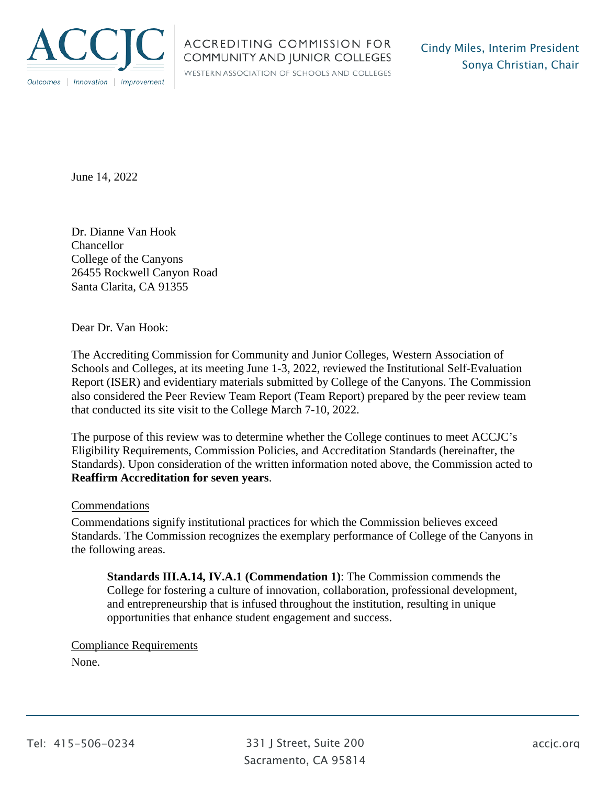

WESTERN ASSOCIATION OF SCHOOLS AND COLLEGES

June 14, 2022

 Dr. Dianne Van Hook Chancellor College of the Canyons 26455 Rockwell Canyon Road Santa Clarita, CA 91355

Dear Dr. Van Hook:

 also considered the Peer Review Team Report (Team Report) prepared by the peer review team The Accrediting Commission for Community and Junior Colleges, Western Association of Schools and Colleges, at its meeting June 1-3, 2022, reviewed the Institutional Self-Evaluation Report (ISER) and evidentiary materials submitted by College of the Canyons. The Commission that conducted its site visit to the College March 7-10, 2022.

The purpose of this review was to determine whether the College continues to meet ACCJC's Eligibility Requirements, Commission Policies, and Accreditation Standards (hereinafter, the Standards). Upon consideration of the written information noted above, the Commission acted to **Reaffirm Accreditation for seven years**.

## Commendations

Commendations signify institutional practices for which the Commission believes exceed Standards. The Commission recognizes the exemplary performance of College of the Canyons in the following areas.

**Standards [III.A.14](https://III.A.14), IV.A.1 (Commendation 1)**: The Commission commends the College for fostering a culture of innovation, collaboration, professional development, and entrepreneurship that is infused throughout the institution, resulting in unique opportunities that enhance student engagement and success.

## Compliance Requirements

None.